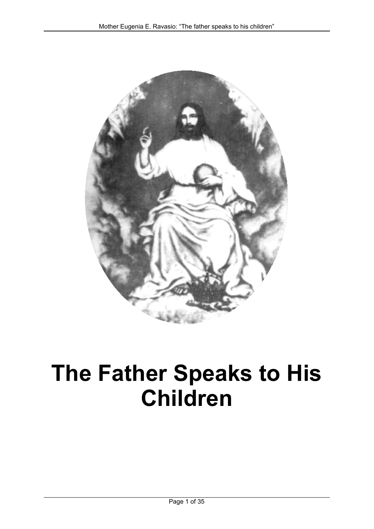

# **The Father Speaks to His Children**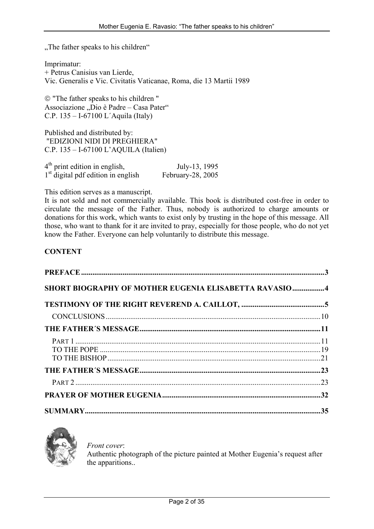"The father speaks to his children"

Imprimatur: + Petrus Canisius van Lierde, Vic. Generalis e Vic. Civitatis Vaticanae, Roma, die 13 Martii 1989

 "The father speaks to his children " Associazione "Dio è Padre – Casa Pater" C.P. 135 – I-67100 L´Aquila (Italy)

Published and distributed by: "EDIZIONI NIDI DI PREGHIERA" C.P. 135 – I-67100 L'AQUILA (Italien)

| $4th$ print edition in english,      | July-13, 1995     |
|--------------------------------------|-------------------|
| $1st$ digital pdf edition in english | February-28, 2005 |

This edition serves as a manuscript.

It is not sold and not commercially available. This book is distributed cost-free in order to circulate the message of the Father. Thus, nobody is authorized to charge amounts or donations for this work, which wants to exist only by trusting in the hope of this message. All those, who want to thank for it are invited to pray, especially for those people, who do not yet know the Father. Everyone can help voluntarily to distribute this message.

#### **CONTENT**

| SHORT BIOGRAPHY OF MOTHER EUGENIA ELISABETTA RAVASIO4 |  |
|-------------------------------------------------------|--|
|                                                       |  |
|                                                       |  |
|                                                       |  |
|                                                       |  |
|                                                       |  |
|                                                       |  |
|                                                       |  |
|                                                       |  |



*Front cover*: Authentic photograph of the picture painted at Mother Eugenia's request after the apparitions..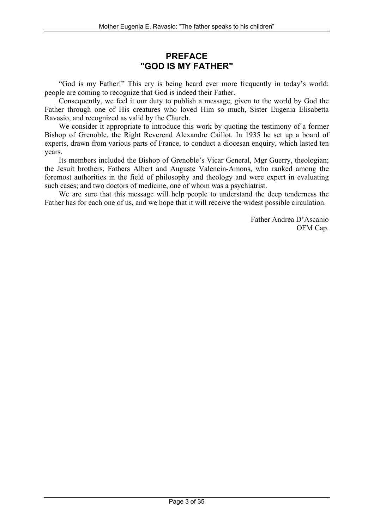# **PREFACE "GOD IS MY FATHER"**

"God is my Father!" This cry is being heard ever more frequently in today's world: people are coming to recognize that God is indeed their Father.

Consequently, we feel it our duty to publish a message, given to the world by God the Father through one of His creatures who loved Him so much, Sister Eugenia Elisabetta Ravasio, and recognized as valid by the Church.

We consider it appropriate to introduce this work by quoting the testimony of a former Bishop of Grenoble, the Right Reverend Alexandre Caillot. In 1935 he set up a board of experts, drawn from various parts of France, to conduct a diocesan enquiry, which lasted ten years.

Its members included the Bishop of Grenoble's Vicar General, Mgr Guerry, theologian; the Jesuit brothers, Fathers Albert and Auguste Valencin-Amons, who ranked among the foremost authorities in the field of philosophy and theology and were expert in evaluating such cases; and two doctors of medicine, one of whom was a psychiatrist.

We are sure that this message will help people to understand the deep tenderness the Father has for each one of us, and we hope that it will receive the widest possible circulation.

> Father Andrea D'Ascanio OFM Cap.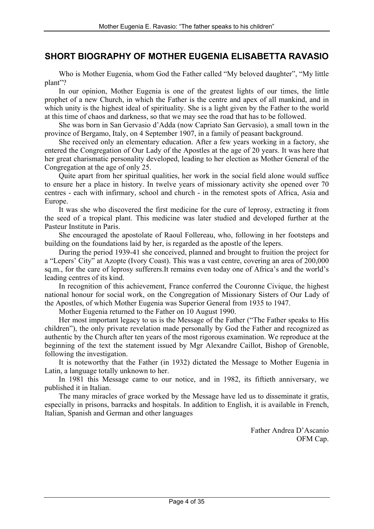# **SHORT BIOGRAPHY OF MOTHER EUGENIA ELISABETTA RAVASIO**

Who is Mother Eugenia, whom God the Father called "My beloved daughter", "My little plant"?

In our opinion, Mother Eugenia is one of the greatest lights of our times, the little prophet of a new Church, in which the Father is the centre and apex of all mankind, and in which unity is the highest ideal of spirituality. She is a light given by the Father to the world at this time of chaos and darkness, so that we may see the road that has to be followed.

She was born in San Gervasio d'Adda (now Capriato San Gervasio), a small town in the province of Bergamo, Italy, on 4 September 1907, in a family of peasant background.

She received only an elementary education. After a few years working in a factory, she entered the Congregation of Our Lady of the Apostles at the age of 20 years. It was here that her great charismatic personality developed, leading to her election as Mother General of the Congregation at the age of only 25.

Quite apart from her spiritual qualities, her work in the social field alone would suffice to ensure her a place in history. In twelve years of missionary activity she opened over 70 centres - each with infirmary, school and church - in the remotest spots of Africa, Asia and Europe.

It was she who discovered the first medicine for the cure of leprosy, extracting it from the seed of a tropical plant. This medicine was later studied and developed further at the Pasteur Institute in Paris.

She encouraged the apostolate of Raoul Follereau, who, following in her footsteps and building on the foundations laid by her, is regarded as the apostle of the lepers.

During the period 1939-41 she conceived, planned and brought to fruition the project for a "Lepers' City" at Azopte (Ivory Coast). This was a vast centre, covering an area of 200,000 sq.m., for the care of leprosy sufferers.It remains even today one of Africa's and the world's leading centres of its kind.

In recognition of this achievement, France conferred the Couronne Civique, the highest national honour for social work, on the Congregation of Missionary Sisters of Our Lady of the Apostles, of which Mother Eugenia was Superior General from 1935 to 1947.

Mother Eugenia returned to the Father on 10 August 1990.

Her most important legacy to us is the Message of the Father ("The Father speaks to His children"), the only private revelation made personally by God the Father and recognized as authentic by the Church after ten years of the most rigorous examination. We reproduce at the beginning of the text the statement issued by Mgr Alexandre Caillot, Bishop of Grenoble, following the investigation.

It is noteworthy that the Father (in 1932) dictated the Message to Mother Eugenia in Latin, a language totally unknown to her.

In 1981 this Message came to our notice, and in 1982, its fiftieth anniversary, we published it in Italian.

The many miracles of grace worked by the Message have led us to disseminate it gratis, especially in prisons, barracks and hospitals. In addition to English, it is available in French, Italian, Spanish and German and other languages

> Father Andrea D'Ascanio OFM Cap.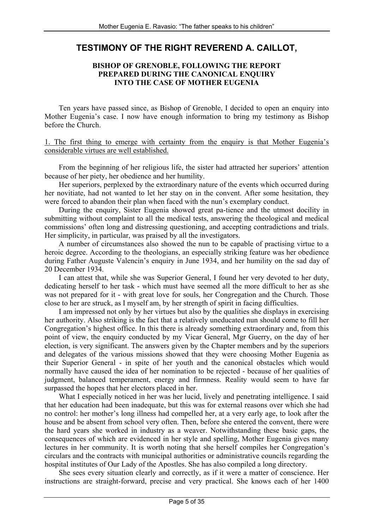# **TESTIMONY OF THE RIGHT REVEREND A. CAILLOT,**

#### **BISHOP OF GRENOBLE, FOLLOWING THE REPORT PREPARED DURING THE CANONICAL ENQUIRY INTO THE CASE OF MOTHER EUGENIA**

Ten years have passed since, as Bishop of Grenoble, I decided to open an enquiry into Mother Eugenia's case. I now have enough information to bring my testimony as Bishop before the Church.

1. The first thing to emerge with certainty from the enquiry is that Mother Eugenia's considerable virtues are well established.

From the beginning of her religious life, the sister had attracted her superiors' attention because of her piety, her obedience and her humility.

Her superiors, perplexed by the extraordinary nature of the events which occurred during her novitiate, had not wanted to let her stay on in the convent. After some hesitation, they were forced to abandon their plan when faced with the nun's exemplary conduct.

During the enquiry, Sister Eugenia showed great pa-tience and the utmost docility in submitting without complaint to all the medical tests, answering the theological and medical commissions' often long and distressing questioning, and accepting contradictions and trials. Her simplicity, in particular, was praised by all the investigators.

A number of circumstances also showed the nun to be capable of practising virtue to a heroic degree. According to the theologians, an especially striking feature was her obedience during Father Auguste Valencin's enquiry in June 1934, and her humility on the sad day of 20 December 1934.

I can attest that, while she was Superior General, I found her very devoted to her duty, dedicating herself to her task - which must have seemed all the more difficult to her as she was not prepared for it - with great love for souls, her Congregation and the Church. Those close to her are struck, as I myself am, by her strength of spirit in facing difficulties.

I am impressed not only by her virtues but also by the qualities she displays in exercising her authority. Also striking is the fact that a relatively uneducated nun should come to fill her Congregation's highest office. In this there is already something extraordinary and, from this point of view, the enquiry conducted by my Vicar General, Mgr Guerry, on the day of her election, is very significant. The answers given by the Chapter members and by the superiors and delegates of the various missions showed that they were choosing Mother Eugenia as their Superior General - in spite of her youth and the canonical obstacles which would normally have caused the idea of her nomination to be rejected - because of her qualities of judgment, balanced temperament, energy and firmness. Reality would seem to have far surpassed the hopes that her electors placed in her.

What I especially noticed in her was her lucid, lively and penetrating intelligence. I said that her education had been inadequate, but this was for external reasons over which she had no control: her mother's long illness had compelled her, at a very early age, to look after the house and be absent from school very often. Then, before she entered the convent, there were the hard years she worked in industry as a weaver. Notwithstanding these basic gaps, the consequences of which are evidenced in her style and spelling, Mother Eugenia gives many lectures in her community. It is worth noting that she herself compiles her Congregation's circulars and the contracts with municipal authorities or administrative councils regarding the hospital institutes of Our Lady of the Apostles. She has also compiled a long directory.

She sees every situation clearly and correctly, as if it were a matter of conscience. Her instructions are straight-forward, precise and very practical. She knows each of her 1400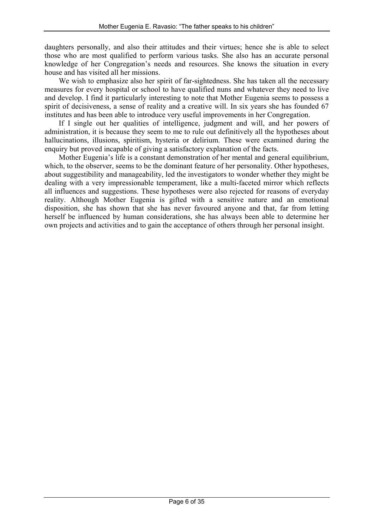daughters personally, and also their attitudes and their virtues; hence she is able to select those who are most qualified to perform various tasks. She also has an accurate personal knowledge of her Congregation's needs and resources. She knows the situation in every house and has visited all her missions.

We wish to emphasize also her spirit of far-sightedness. She has taken all the necessary measures for every hospital or school to have qualified nuns and whatever they need to live and develop. I find it particularly interesting to note that Mother Eugenia seems to possess a spirit of decisiveness, a sense of reality and a creative will. In six years she has founded 67 institutes and has been able to introduce very useful improvements in her Congregation.

If I single out her qualities of intelligence, judgment and will, and her powers of administration, it is because they seem to me to rule out definitively all the hypotheses about hallucinations, illusions, spiritism, hysteria or delirium. These were examined during the enquiry but proved incapable of giving a satisfactory explanation of the facts.

Mother Eugenia's life is a constant demonstration of her mental and general equilibrium, which, to the observer, seems to be the dominant feature of her personality. Other hypotheses, about suggestibility and manageability, led the investigators to wonder whether they might be dealing with a very impressionable temperament, like a multi-faceted mirror which reflects all influences and suggestions. These hypotheses were also rejected for reasons of everyday reality. Although Mother Eugenia is gifted with a sensitive nature and an emotional disposition, she has shown that she has never favoured anyone and that, far from letting herself be influenced by human considerations, she has always been able to determine her own projects and activities and to gain the acceptance of others through her personal insight.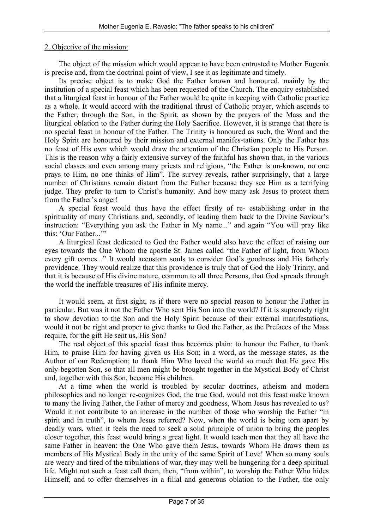#### 2. Objective of the mission:

The object of the mission which would appear to have been entrusted to Mother Eugenia is precise and, from the doctrinal point of view, I see it as legitimate and timely.

Its precise object is to make God the Father known and honoured, mainly by the institution of a special feast which has been requested of the Church. The enquiry established that a liturgical feast in honour of the Father would be quite in keeping with Catholic practice as a whole. It would accord with the traditional thrust of Catholic prayer, which ascends to the Father, through the Son, in the Spirit, as shown by the prayers of the Mass and the liturgical oblation to the Father during the Holy Sacrifice. However, it is strange that there is no special feast in honour of the Father. The Trinity is honoured as such, the Word and the Holy Spirit are honoured by their mission and external manifes-tations. Only the Father has no feast of His own which would draw the attention of the Christian people to His Person. This is the reason why a fairly extensive survey of the faithful has shown that, in the various social classes and even among many priests and religious, "the Father is un-known, no one prays to Him, no one thinks of Him". The survey reveals, rather surprisingly, that a large number of Christians remain distant from the Father because they see Him as a terrifying judge. They prefer to turn to Christ's humanity. And how many ask Jesus to protect them from the Father's anger!

A special feast would thus have the effect firstly of re- establishing order in the spirituality of many Christians and, secondly, of leading them back to the Divine Saviour's instruction: "Everything you ask the Father in My name..." and again "You will pray like this: 'Our Father...'"

A liturgical feast dedicated to God the Father would also have the effect of raising our eyes towards the One Whom the apostle St. James called "the Father of light, from Whom every gift comes..." It would accustom souls to consider God's goodness and His fatherly providence. They would realize that this providence is truly that of God the Holy Trinity, and that it is because of His divine nature, common to all three Persons, that God spreads through the world the ineffable treasures of His infinite mercy.

It would seem, at first sight, as if there were no special reason to honour the Father in particular. But was it not the Father Who sent His Son into the world? If it is supremely right to show devotion to the Son and the Holy Spirit because of their external manifestations, would it not be right and proper to give thanks to God the Father, as the Prefaces of the Mass require, for the gift He sent us, His Son?

The real object of this special feast thus becomes plain: to honour the Father, to thank Him, to praise Him for having given us His Son; in a word, as the message states, as the Author of our Redemption; to thank Him Who loved the world so much that He gave His only-begotten Son, so that all men might be brought together in the Mystical Body of Christ and, together with this Son, become His children.

At a time when the world is troubled by secular doctrines, atheism and modern philosophies and no longer re-cognizes God, the true God, would not this feast make known to many the living Father, the Father of mercy and goodness, Whom Jesus has revealed to us? Would it not contribute to an increase in the number of those who worship the Father "in spirit and in truth", to whom Jesus referred? Now, when the world is being torn apart by deadly wars, when it feels the need to seek a solid principle of union to bring the peoples closer together, this feast would bring a great light. It would teach men that they all have the same Father in heaven: the One Who gave them Jesus, towards Whom He draws them as members of His Mystical Body in the unity of the same Spirit of Love! When so many souls are weary and tired of the tribulations of war, they may well be hungering for a deep spiritual life. Might not such a feast call them, then, "from within", to worship the Father Who hides Himself, and to offer themselves in a filial and generous oblation to the Father, the only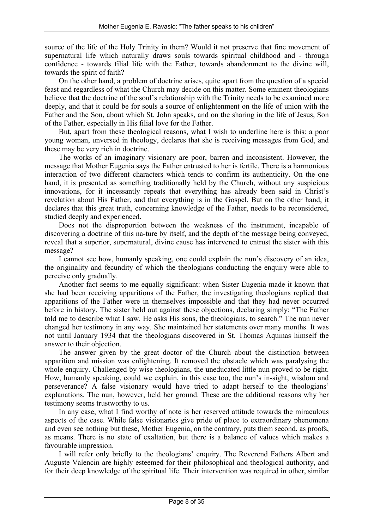source of the life of the Holy Trinity in them? Would it not preserve that fine movement of supernatural life which naturally draws souls towards spiritual childhood and - through confidence - towards filial life with the Father, towards abandonment to the divine will, towards the spirit of faith?

On the other hand, a problem of doctrine arises, quite apart from the question of a special feast and regardless of what the Church may decide on this matter. Some eminent theologians believe that the doctrine of the soul's relationship with the Trinity needs to be examined more deeply, and that it could be for souls a source of enlightenment on the life of union with the Father and the Son, about which St. John speaks, and on the sharing in the life of Jesus, Son of the Father, especially in His filial love for the Father.

But, apart from these theological reasons, what I wish to underline here is this: a poor young woman, unversed in theology, declares that she is receiving messages from God, and these may be very rich in doctrine.

The works of an imaginary visionary are poor, barren and inconsistent. However, the message that Mother Eugenia says the Father entrusted to her is fertile. There is a harmonious interaction of two different characters which tends to confirm its authenticity. On the one hand, it is presented as something traditionally held by the Church, without any suspicious innovations, for it incessantly repeats that everything has already been said in Christ's revelation about His Father, and that everything is in the Gospel. But on the other hand, it declares that this great truth, concerning knowledge of the Father, needs to be reconsidered, studied deeply and experienced.

Does not the disproportion between the weakness of the instrument, incapable of discovering a doctrine of this na-ture by itself, and the depth of the message being conveyed, reveal that a superior, supernatural, divine cause has intervened to entrust the sister with this message?

I cannot see how, humanly speaking, one could explain the nun's discovery of an idea, the originality and fecundity of which the theologians conducting the enquiry were able to perceive only gradually.

Another fact seems to me equally significant: when Sister Eugenia made it known that she had been receiving apparitions of the Father, the investigating theologians replied that apparitions of the Father were in themselves impossible and that they had never occurred before in history. The sister held out against these objections, declaring simply: "The Father told me to describe what I saw. He asks His sons, the theologians, to search." The nun never changed her testimony in any way. She maintained her statements over many months. It was not until January 1934 that the theologians discovered in St. Thomas Aquinas himself the answer to their objection.

The answer given by the great doctor of the Church about the distinction between apparition and mission was enlightening. It removed the obstacle which was paralysing the whole enquiry. Challenged by wise theologians, the uneducated little nun proved to be right. How, humanly speaking, could we explain, in this case too, the nun's in-sight, wisdom and perseverance? A false visionary would have tried to adapt herself to the theologians' explanations. The nun, however, held her ground. These are the additional reasons why her testimony seems trustworthy to us.

In any case, what I find worthy of note is her reserved attitude towards the miraculous aspects of the case. While false visionaries give pride of place to extraordinary phenomena and even see nothing but these, Mother Eugenia, on the contrary, puts them second, as proofs, as means. There is no state of exaltation, but there is a balance of values which makes a favourable impression.

I will refer only briefly to the theologians' enquiry. The Reverend Fathers Albert and Auguste Valencin are highly esteemed for their philosophical and theological authority, and for their deep knowledge of the spiritual life. Their intervention was required in other, similar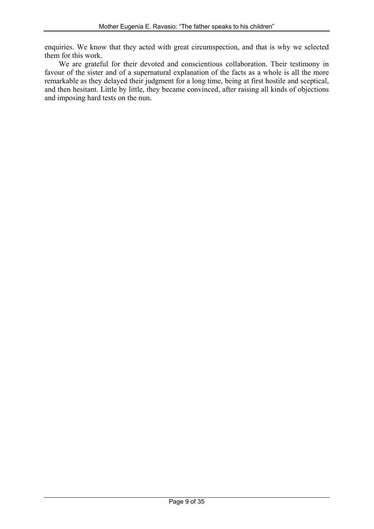enquiries. We know that they acted with great circumspection, and that is why we selected them for this work.

We are grateful for their devoted and conscientious collaboration. Their testimony in favour of the sister and of a supernatural explanation of the facts as a whole is all the more remarkable as they delayed their judgment for a long time, being at first hostile and sceptical, and then hesitant. Little by little, they became convinced, after raising all kinds of objections and imposing hard tests on the nun.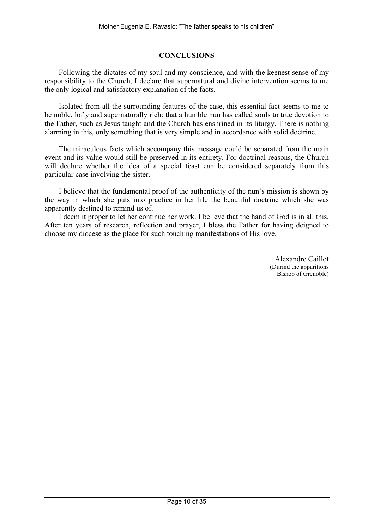#### **CONCLUSIONS**

Following the dictates of my soul and my conscience, and with the keenest sense of my responsibility to the Church, I declare that supernatural and divine intervention seems to me the only logical and satisfactory explanation of the facts.

Isolated from all the surrounding features of the case, this essential fact seems to me to be noble, lofty and supernaturally rich: that a humble nun has called souls to true devotion to the Father, such as Jesus taught and the Church has enshrined in its liturgy. There is nothing alarming in this, only something that is very simple and in accordance with solid doctrine.

The miraculous facts which accompany this message could be separated from the main event and its value would still be preserved in its entirety. For doctrinal reasons, the Church will declare whether the idea of a special feast can be considered separately from this particular case involving the sister.

I believe that the fundamental proof of the authenticity of the nun's mission is shown by the way in which she puts into practice in her life the beautiful doctrine which she was apparently destined to remind us of.

I deem it proper to let her continue her work. I believe that the hand of God is in all this. After ten years of research, reflection and prayer, I bless the Father for having deigned to choose my diocese as the place for such touching manifestations of His love.

> + Alexandre Caillot (Durind the apparitions Bishop of Grenoble)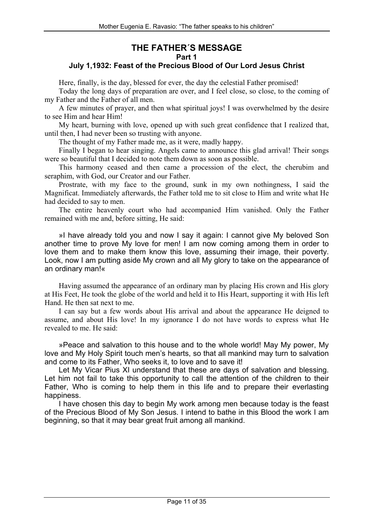# **THE FATHER´S MESSAGE**

## **Part 1**

#### **July 1,1932: Feast of the Precious Blood of Our Lord Jesus Christ**

Here, finally, is the day, blessed for ever, the day the celestial Father promised!

Today the long days of preparation are over, and I feel close, so close, to the coming of my Father and the Father of all men.

A few minutes of prayer, and then what spiritual joys! I was overwhelmed by the desire to see Him and hear Him!

My heart, burning with love, opened up with such great confidence that I realized that, until then, I had never been so trusting with anyone.

The thought of my Father made me, as it were, madly happy.

Finally I began to hear singing. Angels came to announce this glad arrival! Their songs were so beautiful that I decided to note them down as soon as possible.

This harmony ceased and then came a procession of the elect, the cherubim and seraphim, with God, our Creator and our Father.

Prostrate, with my face to the ground, sunk in my own nothingness, I said the Magnificat. Immediately afterwards, the Father told me to sit close to Him and write what He had decided to say to men.

The entire heavenly court who had accompanied Him vanished. Only the Father remained with me and, before sitting, He said:

»I have already told you and now I say it again: I cannot give My beloved Son another time to prove My love for men! I am now coming among them in order to love them and to make them know this love, assuming their image, their poverty. Look, now I am putting aside My crown and all My glory to take on the appearance of an ordinary man!«

Having assumed the appearance of an ordinary man by placing His crown and His glory at His Feet, He took the globe of the world and held it to His Heart, supporting it with His left Hand. He then sat next to me.

I can say but a few words about His arrival and about the appearance He deigned to assume, and about His love! In my ignorance I do not have words to express what He revealed to me. He said:

»Peace and salvation to this house and to the whole world! May My power, My love and My Holy Spirit touch men's hearts, so that all mankind may turn to salvation and come to its Father, Who seeks it, to love and to save it!

Let My Vicar Pius XI understand that these are days of salvation and blessing. Let him not fail to take this opportunity to call the attention of the children to their Father, Who is coming to help them in this life and to prepare their everlasting happiness.

I have chosen this day to begin My work among men because today is the feast of the Precious Blood of My Son Jesus. I intend to bathe in this Blood the work I am beginning, so that it may bear great fruit among all mankind.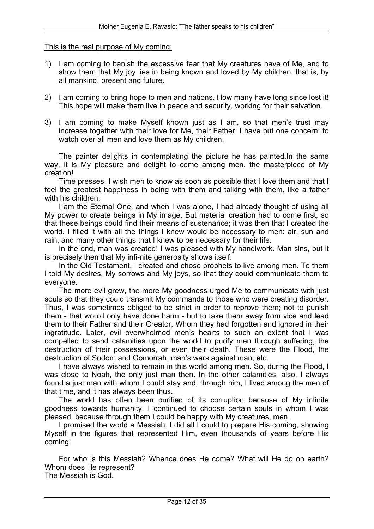This is the real purpose of My coming:

- 1) I am coming to banish the excessive fear that My creatures have of Me, and to show them that My joy lies in being known and loved by My children, that is, by all mankind, present and future.
- 2) I am coming to bring hope to men and nations. How many have long since lost it! This hope will make them live in peace and security, working for their salvation.
- 3) I am coming to make Myself known just as I am, so that men's trust may increase together with their love for Me, their Father. I have but one concern: to watch over all men and love them as My children.

The painter delights in contemplating the picture he has painted.In the same way, it is My pleasure and delight to come among men, the masterpiece of My creation!

Time presses. I wish men to know as soon as possible that I love them and that I feel the greatest happiness in being with them and talking with them, like a father with his children

I am the Eternal One, and when I was alone, I had already thought of using all My power to create beings in My image. But material creation had to come first, so that these beings could find their means of sustenance; it was then that I created the world. I filled it with all the things I knew would be necessary to men: air, sun and rain, and many other things that I knew to be necessary for their life.

In the end, man was created! I was pleased with My handiwork. Man sins, but it is precisely then that My infi-nite generosity shows itself.

In the Old Testament, I created and chose prophets to live among men. To them I told My desires, My sorrows and My joys, so that they could communicate them to everyone.

The more evil grew, the more My goodness urged Me to communicate with just souls so that they could transmit My commands to those who were creating disorder. Thus, I was sometimes obliged to be strict in order to reprove them; not to punish them - that would only have done harm - but to take them away from vice and lead them to their Father and their Creator, Whom they had forgotten and ignored in their ingratitude. Later, evil overwhelmed men's hearts to such an extent that I was compelled to send calamities upon the world to purify men through suffering, the destruction of their possessions, or even their death. These were the Flood, the destruction of Sodom and Gomorrah, man's wars against man, etc.

I have always wished to remain in this world among men. So, during the Flood, I was close to Noah, the only just man then. In the other calamities, also, I always found a just man with whom I could stay and, through him, I lived among the men of that time, and it has always been thus.

The world has often been purified of its corruption because of My infinite goodness towards humanity. I continued to choose certain souls in whom I was pleased, because through them I could be happy with My creatures, men.

I promised the world a Messiah. I did all I could to prepare His coming, showing Myself in the figures that represented Him, even thousands of years before His coming!

For who is this Messiah? Whence does He come? What will He do on earth? Whom does He represent?

The Messiah is God.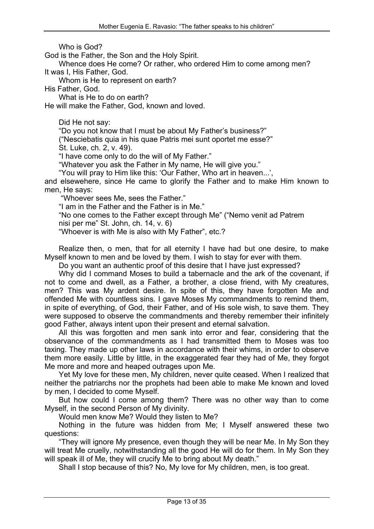Who is God?

God is the Father, the Son and the Holy Spirit.

Whence does He come? Or rather, who ordered Him to come among men? It was I, His Father, God.

Whom is He to represent on earth?

His Father, God.

What is He to do on earth?

He will make the Father, God, known and loved.

Did He not say:

"Do you not know that I must be about My Father's business?"

("Nesciebatis quia in his quae Patris mei sunt oportet me esse?" St. Luke, ch. 2, v. 49).

"I have come only to do the will of My Father."

"Whatever you ask the Father in My name, He will give you."

"You will pray to Him like this: 'Our Father, Who art in heaven...',

and elsewehere, since He came to glorify the Father and to make Him known to men, He says:

"Whoever sees Me, sees the Father."

"I am in the Father and the Father is in Me."

"No one comes to the Father except through Me" ("Nemo venit ad Patrem

nisi per me" St. John, ch. 14, v. 6)

"Whoever is with Me is also with My Father", etc.?

Realize then, o men, that for all eternity I have had but one desire, to make Myself known to men and be loved by them. I wish to stay for ever with them.

Do you want an authentic proof of this desire that I have just expressed?

Why did I command Moses to build a tabernacle and the ark of the covenant, if not to come and dwell, as a Father, a brother, a close friend, with My creatures, men? This was My ardent desire. In spite of this, they have forgotten Me and offended Me with countless sins. I gave Moses My commandments to remind them, in spite of everything, of God, their Father, and of His sole wish, to save them. They were supposed to observe the commandments and thereby remember their infinitely good Father, always intent upon their present and eternal salvation.

All this was forgotten and men sank into error and fear, considering that the observance of the commandments as I had transmitted them to Moses was too taxing. They made up other laws in accordance with their whims, in order to observe them more easily. Little by little, in the exaggerated fear they had of Me, they forgot Me more and more and heaped outrages upon Me.

Yet My love for these men, My children, never quite ceased. When I realized that neither the patriarchs nor the prophets had been able to make Me known and loved by men, I decided to come Myself.

But how could I come among them? There was no other way than to come Myself, in the second Person of My divinity.

Would men know Me? Would they listen to Me?

Nothing in the future was hidden from Me; I Myself answered these two questions:

"They will ignore My presence, even though they will be near Me. In My Son they will treat Me cruelly, notwithstanding all the good He will do for them. In My Son they will speak ill of Me, they will crucify Me to bring about My death."

Shall I stop because of this? No, My love for My children, men, is too great.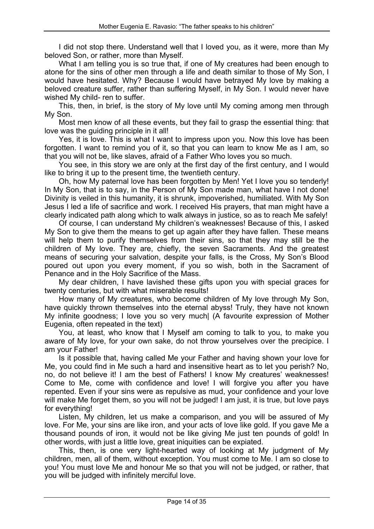I did not stop there. Understand well that I loved you, as it were, more than My beloved Son, or rather, more than Myself.

What I am telling you is so true that, if one of My creatures had been enough to atone for the sins of other men through a life and death similar to those of My Son, I would have hesitated. Why? Because I would have betrayed My love by making a beloved creature suffer, rather than suffering Myself, in My Son. I would never have wished My child- ren to suffer.

This, then, in brief, is the story of My love until My coming among men through My Son.

Most men know of all these events, but they fail to grasp the essential thing: that love was the guiding principle in it all!

Yes, it is love. This is what I want to impress upon you. Now this love has been forgotten. I want to remind you of it, so that you can learn to know Me as I am, so that you will not be, like slaves, afraid of a Father Who loves you so much.

You see, in this story we are only at the first day of the first century, and I would like to bring it up to the present time, the twentieth century.

Oh, how My paternal love has been forgotten by Men! Yet I love you so tenderly! In My Son, that is to say, in the Person of My Son made man, what have I not done! Divinity is veiled in this humanity, it is shrunk, impoverished, humiliated. With My Son Jesus I led a life of sacrifice and work. I received His prayers, that man might have a clearly indicated path along which to walk always in justice, so as to reach Me safely!

Of course, I can understand My children's weaknesses! Because of this, I asked My Son to give them the means to get up again after they have fallen. These means will help them to purify themselves from their sins, so that they may still be the children of My love. They are, chiefly, the seven Sacraments. And the greatest means of securing your salvation, despite your falls, is the Cross, My Son's Blood poured out upon you every moment, if you so wish, both in the Sacrament of Penance and in the Holy Sacrifice of the Mass.

My dear children, I have lavished these gifts upon you with special graces for twenty centuries, but with what miserable results!

How many of My creatures, who become children of My love through My Son, have quickly thrown themselves into the eternal abyss! Truly, they have not known My infinite goodness; I love you so very much| (A favourite expression of Mother Eugenia, often repeated in the text)

You, at least, who know that I Myself am coming to talk to you, to make you aware of My love, for your own sake, do not throw yourselves over the precipice. I am your Father!

Is it possible that, having called Me your Father and having shown your love for Me, you could find in Me such a hard and insensitive heart as to let you perish? No, no, do not believe it! I am the best of Fathers! I know My creatures' weaknesses! Come to Me, come with confidence and love! I will forgive you after you have repented. Even if your sins were as repulsive as mud, your confidence and your love will make Me forget them, so you will not be judged! I am just, it is true, but love pays for everything!

Listen, My children, let us make a comparison, and you will be assured of My love. For Me, your sins are like iron, and your acts of love like gold. If you gave Me a thousand pounds of iron, it would not be like giving Me just ten pounds of gold! In other words, with just a little love, great iniquities can be expiated.

This, then, is one very light-hearted way of looking at My judgment of My children, men, all of them, without exception. You must come to Me. I am so close to you! You must love Me and honour Me so that you will not be judged, or rather, that you will be judged with infinitely merciful love.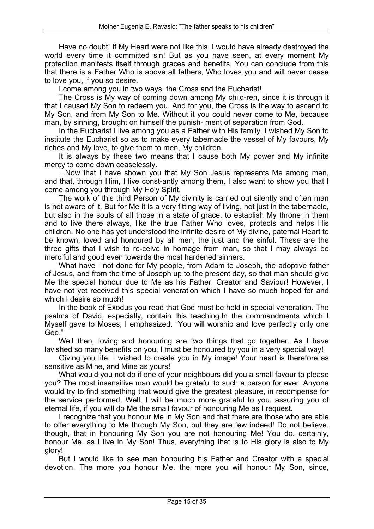Have no doubt! If My Heart were not like this, I would have already destroyed the world every time it committed sin! But as you have seen, at every moment My protection manifests itself through graces and benefits. You can conclude from this that there is a Father Who is above all fathers, Who loves you and will never cease to love you, if you so desire.

I come among you in two ways: the Cross and the Eucharist!

The Cross is My way of coming down among My child-ren, since it is through it that I caused My Son to redeem you. And for you, the Cross is the way to ascend to My Son, and from My Son to Me. Without it you could never come to Me, because man, by sinning, brought on himself the punish- ment of separation from God.

In the Eucharist I live among you as a Father with His family. I wished My Son to institute the Eucharist so as to make every tabernacle the vessel of My favours, My riches and My love, to give them to men, My children.

It is always by these two means that I cause both My power and My infinite mercy to come down ceaselessly.

...Now that I have shown you that My Son Jesus represents Me among men, and that, through Him, I live const-antly among them, I also want to show you that I come among you through My Holy Spirit.

The work of this third Person of My divinity is carried out silently and often man is not aware of it. But for Me it is a very fitting way of living, not just in the tabernacle, but also in the souls of all those in a state of grace, to establish My throne in them and to live there always, like the true Father Who loves, protects and helps His children. No one has yet understood the infinite desire of My divine, paternal Heart to be known, loved and honoured by all men, the just and the sinful. These are the three gifts that I wish to re-ceive in homage from man, so that I may always be merciful and good even towards the most hardened sinners.

What have I not done for My people, from Adam to Joseph, the adoptive father of Jesus, and from the time of Joseph up to the present day, so that man should give Me the special honour due to Me as his Father, Creator and Saviour! However, I have not yet received this special veneration which I have so much hoped for and which I desire so much!

In the book of Exodus you read that God must be held in special veneration. The psalms of David, especially, contain this teaching.In the commandments which I Myself gave to Moses, I emphasized: "You will worship and love perfectly only one God."

Well then, loving and honouring are two things that go together. As I have lavished so many benefits on you, I must be honoured by you in a very special way!

Giving you life, I wished to create you in My image! Your heart is therefore as sensitive as Mine, and Mine as yours!

What would you not do if one of your neighbours did you a small favour to please you? The most insensitive man would be grateful to such a person for ever. Anyone would try to find something that would give the greatest pleasure, in recompense for the service performed. Well, I will be much more grateful to you, assuring you of eternal life, if you will do Me the small favour of honouring Me as I request.

I recognize that you honour Me in My Son and that there are those who are able to offer everything to Me through My Son, but they are few indeed! Do not believe, though, that in honouring My Son you are not honouring Me! You do, certainly, honour Me, as I live in My Son! Thus, everything that is to His glory is also to My glory!

But I would like to see man honouring his Father and Creator with a special devotion. The more you honour Me, the more you will honour My Son, since,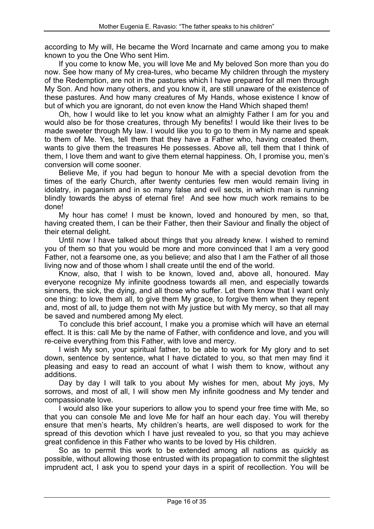according to My will, He became the Word Incarnate and came among you to make known to you the One Who sent Him.

If you come to know Me, you will love Me and My beloved Son more than you do now. See how many of My crea-tures, who became My children through the mystery of the Redemption, are not in the pastures which I have prepared for all men through My Son. And how many others, and you know it, are still unaware of the existence of these pastures. And how many creatures of My Hands, whose existence I know of but of which you are ignorant, do not even know the Hand Which shaped them!

Oh, how I would like to let you know what an almighty Father I am for you and would also be for those creatures, through My benefits! I would like their lives to be made sweeter through My law. I would like you to go to them in My name and speak to them of Me. Yes, tell them that they have a Father who, having created them, wants to give them the treasures He possesses. Above all, tell them that I think of them, I love them and want to give them eternal happiness. Oh, I promise you, men's conversion will come sooner.

Believe Me, if you had begun to honour Me with a special devotion from the times of the early Church, after twenty centuries few men would remain living in idolatry, in paganism and in so many false and evil sects, in which man is running blindly towards the abyss of eternal fire! And see how much work remains to be done!

My hour has come! I must be known, loved and honoured by men, so that, having created them, I can be their Father, then their Saviour and finally the object of their eternal delight.

Until now I have talked about things that you already knew. I wished to remind you of them so that you would be more and more convinced that I am a very good Father, not a fearsome one, as you believe; and also that I am the Father of all those living now and of those whom I shall create until the end of the world.

Know, also, that I wish to be known, loved and, above all, honoured. May everyone recognize My infinite goodness towards all men, and especially towards sinners, the sick, the dying, and all those who suffer. Let them know that I want only one thing: to love them all, to give them My grace, to forgive them when they repent and, most of all, to judge them not with My justice but with My mercy, so that all may be saved and numbered among My elect.

To conclude this brief account, I make you a promise which will have an eternal effect. It is this: call Me by the name of Father, with confidence and love, and you will re-ceive everything from this Father, with love and mercy.

I wish My son, your spiritual father, to be able to work for My glory and to set down, sentence by sentence, what I have dictated to you, so that men may find it pleasing and easy to read an account of what I wish them to know, without any additions.

Day by day I will talk to you about My wishes for men, about My joys, My sorrows, and most of all, I will show men My infinite goodness and My tender and compassionate love.

I would also like your superiors to allow you to spend your free time with Me, so that you can console Me and love Me for half an hour each day. You will thereby ensure that men's hearts, My children's hearts, are well disposed to work for the spread of this devotion which I have just revealed to you, so that you may achieve great confidence in this Father who wants to be loved by His children.

So as to permit this work to be extended among all nations as quickly as possible, without allowing those entrusted with its propagation to commit the slightest imprudent act, I ask you to spend your days in a spirit of recollection. You will be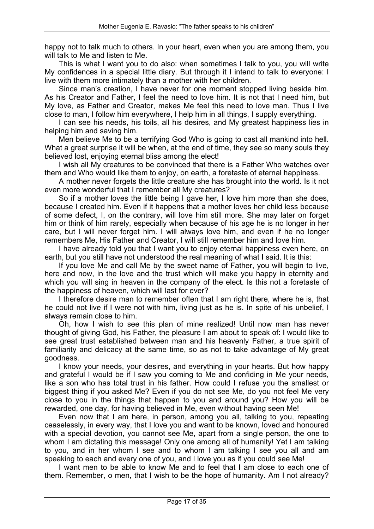happy not to talk much to others. In your heart, even when you are among them, you will talk to Me and listen to Me.

This is what I want you to do also: when sometimes I talk to you, you will write My confidences in a special little diary. But through it I intend to talk to everyone: I live with them more intimately than a mother with her children.

Since man's creation, I have never for one moment stopped living beside him. As his Creator and Father, I feel the need to love him. It is not that I need him, but My love, as Father and Creator, makes Me feel this need to love man. Thus I live close to man, I follow him everywhere, I help him in all things, I supply everything.

I can see his needs, his toils, all his desires, and My greatest happiness lies in helping him and saving him.

Men believe Me to be a terrifying God Who is going to cast all mankind into hell. What a great surprise it will be when, at the end of time, they see so many souls they believed lost, enjoying eternal bliss among the elect!

I wish all My creatures to be convinced that there is a Father Who watches over them and Who would like them to enjoy, on earth, a foretaste of eternal happiness.

A mother never forgets the little creature she has brought into the world. Is it not even more wonderful that I remember all My creatures?

So if a mother loves the little being I gave her, I love him more than she does, because I created him. Even if it happens that a mother loves her child less because of some defect, I, on the contrary, will love him still more. She may later on forget him or think of him rarely, especially when because of his age he is no longer in her care, but I will never forget him. I will always love him, and even if he no longer remembers Me, His Father and Creator, I will still remember him and love him.

I have already told you that I want you to enjoy eternal happiness even here, on earth, but you still have not understood the real meaning of what I said. It is this:

If you love Me and call Me by the sweet name of Father, you will begin to live, here and now, in the love and the trust which will make you happy in eternity and which you will sing in heaven in the company of the elect. Is this not a foretaste of the happiness of heaven, which will last for ever?

I therefore desire man to remember often that I am right there, where he is, that he could not live if I were not with him, living just as he is. In spite of his unbelief, I always remain close to him.

Oh, how I wish to see this plan of mine realized! Until now man has never thought of giving God, his Father, the pleasure I am about to speak of: I would like to see great trust established between man and his heavenly Father, a true spirit of familiarity and delicacy at the same time, so as not to take advantage of My great goodness.

I know your needs, your desires, and everything in your hearts. But how happy and grateful I would be if I saw you coming to Me and confiding in Me your needs, like a son who has total trust in his father. How could I refuse you the smallest or biggest thing if you asked Me? Even if you do not see Me, do you not feel Me very close to you in the things that happen to you and around you? How you will be rewarded, one day, for having believed in Me, even without having seen Me!

Even now that I am here, in person, among you all, talking to you, repeating ceaselessly, in every way, that I love you and want to be known, loved and honoured with a special devotion, you cannot see Me, apart from a single person, the one to whom I am dictating this message! Only one among all of humanity! Yet I am talking to you, and in her whom I see and to whom I am talking I see you all and am speaking to each and every one of you, and I love you as if you could see Me!

I want men to be able to know Me and to feel that I am close to each one of them. Remember, o men, that I wish to be the hope of humanity. Am I not already?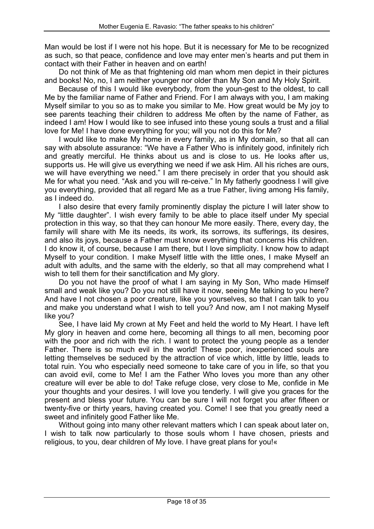Man would be lost if I were not his hope. But it is necessary for Me to be recognized as such, so that peace, confidence and love may enter men's hearts and put them in contact with their Father in heaven and on earth!

Do not think of Me as that frightening old man whom men depict in their pictures and books! No, no, I am neither younger nor older than My Son and My Holy Spirit.

Because of this I would like everybody, from the youn-gest to the oldest, to call Me by the familiar name of Father and Friend. For I am always with you, I am making Myself similar to you so as to make you similar to Me. How great would be My joy to see parents teaching their children to address Me often by the name of Father, as indeed I am! How I would like to see infused into these young souls a trust and a filial love for Me! I have done everything for you; will you not do this for Me?

I would like to make My home in every family, as in My domain, so that all can say with absolute assurance: "We have a Father Who is infinitely good, infinitely rich and greatly merciful. He thinks about us and is close to us. He looks after us, supports us. He will give us everything we need if we ask Him. All his riches are ours, we will have everything we need." I am there precisely in order that you should ask Me for what you need. "Ask and you will re-ceive." In My fatherly goodness I will give you everything, provided that all regard Me as a true Father, living among His family, as I indeed do.

I also desire that every family prominently display the picture I will later show to My "little daughter". I wish every family to be able to place itself under My special protection in this way, so that they can honour Me more easily. There, every day, the family will share with Me its needs, its work, its sorrows, its sufferings, its desires, and also its joys, because a Father must know everything that concerns His children. I do know it, of course, because I am there, but I love simplicity. I know how to adapt Myself to your condition. I make Myself little with the little ones, I make Myself an adult with adults, and the same with the elderly, so that all may comprehend what I wish to tell them for their sanctification and My glory.

Do you not have the proof of what I am saying in My Son, Who made Himself small and weak like you? Do you not still have it now, seeing Me talking to you here? And have I not chosen a poor creature, like you yourselves, so that I can talk to you and make you understand what I wish to tell you? And now, am I not making Myself like you?

See, I have laid My crown at My Feet and held the world to My Heart. I have left My glory in heaven and come here, becoming all things to all men, becoming poor with the poor and rich with the rich. I want to protect the young people as a tender Father. There is so much evil in the world! These poor, inexperienced souls are letting themselves be seduced by the attraction of vice which, little by little, leads to total ruin. You who especially need someone to take care of you in life, so that you can avoid evil, come to Me! I am the Father Who loves you more than any other creature will ever be able to do! Take refuge close, very close to Me, confide in Me your thoughts and your desires. I will love you tenderly. I will give you graces for the present and bless your future. You can be sure I will not forget you after fifteen or twenty-five or thirty years, having created you. Come! I see that you greatly need a sweet and infinitely good Father like Me.

Without going into many other relevant matters which I can speak about later on, I wish to talk now particularly to those souls whom I have chosen, priests and religious, to you, dear children of My love. I have great plans for you!«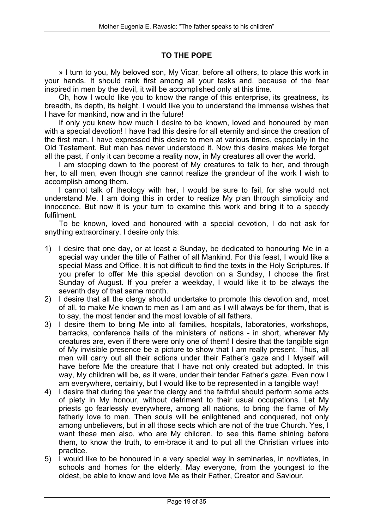#### **TO THE POPE**

» I turn to you, My beloved son, My Vicar, before all others, to place this work in your hands. It should rank first among all your tasks and, because of the fear inspired in men by the devil, it will be accomplished only at this time.

Oh, how I would like you to know the range of this enterprise, its greatness, its breadth, its depth, its height. I would like you to understand the immense wishes that I have for mankind, now and in the future!

If only you knew how much I desire to be known, loved and honoured by men with a special devotion! I have had this desire for all eternity and since the creation of the first man. I have expressed this desire to men at various times, especially in the Old Testament. But man has never understood it. Now this desire makes Me forget all the past, if only it can become a reality now, in My creatures all over the world.

I am stooping down to the poorest of My creatures to talk to her, and through her, to all men, even though she cannot realize the grandeur of the work I wish to accomplish among them.

I cannot talk of theology with her, I would be sure to fail, for she would not understand Me. I am doing this in order to realize My plan through simplicity and innocence. But now it is your turn to examine this work and bring it to a speedy fulfilment.

To be known, loved and honoured with a special devotion, I do not ask for anything extraordinary. I desire only this:

- 1) I desire that one day, or at least a Sunday, be dedicated to honouring Me in a special way under the title of Father of all Mankind. For this feast, I would like a special Mass and Office. It is not difficult to find the texts in the Holy Scriptures. If you prefer to offer Me this special devotion on a Sunday, I choose the first Sunday of August. If you prefer a weekday, I would like it to be always the seventh day of that same month.
- 2) I desire that all the clergy should undertake to promote this devotion and, most of all, to make Me known to men as I am and as I will always be for them, that is to say, the most tender and the most lovable of all fathers.
- 3) I desire them to bring Me into all families, hospitals, laboratories, workshops, barracks, conference halls of the ministers of nations - in short, wherever My creatures are, even if there were only one of them! I desire that the tangible sign of My invisible presence be a picture to show that I am really present. Thus, all men will carry out all their actions under their Father's gaze and I Myself will have before Me the creature that I have not only created but adopted. In this way, My children will be, as it were, under their tender Father's gaze. Even now I am everywhere, certainly, but I would like to be represented in a tangible way!
- 4) I desire that during the year the clergy and the faithful should perform some acts of piety in My honour, without detriment to their usual occupations. Let My priests go fearlessly everywhere, among all nations, to bring the flame of My fatherly love to men. Then souls will be enlightened and conquered, not only among unbelievers, but in all those sects which are not of the true Church. Yes, I want these men also, who are My children, to see this flame shining before them, to know the truth, to em-brace it and to put all the Christian virtues into practice.
- 5) I would like to be honoured in a very special way in seminaries, in novitiates, in schools and homes for the elderly. May everyone, from the youngest to the oldest, be able to know and love Me as their Father, Creator and Saviour.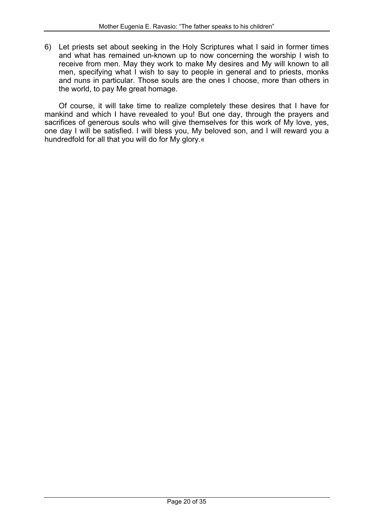6) Let priests set about seeking in the Holy Scriptures what I said in former times and what has remained un-known up to now concerning the worship I wish to receive from men. May they work to make My desires and My will known to all men, specifying what I wish to say to people in general and to priests, monks and nuns in particular. Those souls are the ones I choose, more than others in the world, to pay Me great homage.

Of course, it will take time to realize completely these desires that I have for mankind and which I have revealed to you! But one day, through the prayers and sacrifices of generous souls who will give themselves for this work of My love, yes, one day I will be satisfied. I will bless you, My beloved son, and I will reward you a hundredfold for all that you will do for My glory.«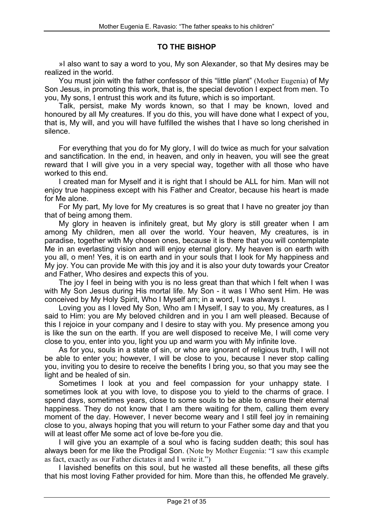#### **TO THE BISHOP**

»I also want to say a word to you, My son Alexander, so that My desires may be realized in the world.

You must join with the father confessor of this "little plant" (Mother Eugenia) of My Son Jesus, in promoting this work, that is, the special devotion I expect from men. To you, My sons, I entrust this work and its future, which is so important.

Talk, persist, make My words known, so that I may be known, loved and honoured by all My creatures. If you do this, you will have done what I expect of you, that is, My will, and you will have fulfilled the wishes that I have so long cherished in silence.

For everything that you do for My glory, I will do twice as much for your salvation and sanctification. In the end, in heaven, and only in heaven, you will see the great reward that I will give you in a very special way, together with all those who have worked to this end.

I created man for Myself and it is right that I should be ALL for him. Man will not enjoy true happiness except with his Father and Creator, because his heart is made for Me alone.

For My part, My love for My creatures is so great that I have no greater joy than that of being among them.

My glory in heaven is infinitely great, but My glory is still greater when I am among My children, men all over the world. Your heaven, My creatures, is in paradise, together with My chosen ones, because it is there that you will contemplate Me in an everlasting vision and will enjoy eternal glory. My heaven is on earth with you all, o men! Yes, it is on earth and in your souls that I look for My happiness and My joy. You can provide Me with this joy and it is also your duty towards your Creator and Father, Who desires and expects this of you.

The joy I feel in being with you is no less great than that which I felt when I was with My Son Jesus during His mortal life. My Son - it was I Who sent Him. He was conceived by My Holy Spirit, Who I Myself am; in a word, I was always I.

Loving you as I loved My Son, Who am I Myself, I say to you, My creatures, as I said to Him: you are My beloved children and in you I am well pleased. Because of this I rejoice in your company and I desire to stay with you. My presence among you is like the sun on the earth. If you are well disposed to receive Me, I will come very close to you, enter into you, light you up and warm you with My infinite love.

As for you, souls in a state of sin, or who are ignorant of religious truth, I will not be able to enter you; however, I will be close to you, because I never stop calling you, inviting you to desire to receive the benefits I bring you, so that you may see the light and be healed of sin.

Sometimes I look at you and feel compassion for your unhappy state. I sometimes look at you with love, to dispose you to yield to the charms of grace. I spend days, sometimes years, close to some souls to be able to ensure their eternal happiness. They do not know that I am there waiting for them, calling them every moment of the day. However, I never become weary and I still feel joy in remaining close to you, always hoping that you will return to your Father some day and that you will at least offer Me some act of love be-fore you die.

I will give you an example of a soul who is facing sudden death; this soul has always been for me like the Prodigal Son. (Note by Mother Eugenia: "I saw this example as fact, exactly as our Father dictates it and I write it.")

I lavished benefits on this soul, but he wasted all these benefits, all these gifts that his most loving Father provided for him. More than this, he offended Me gravely.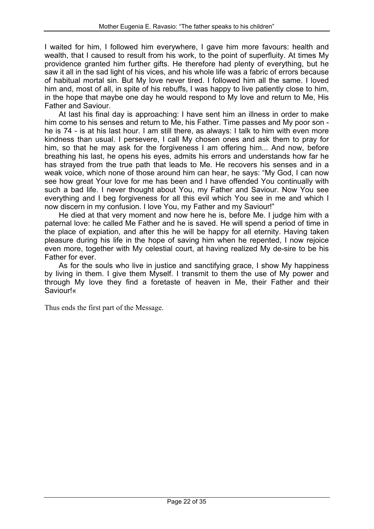I waited for him, I followed him everywhere, I gave him more favours: health and wealth, that I caused to result from his work, to the point of superfluity. At times My providence granted him further gifts. He therefore had plenty of everything, but he saw it all in the sad light of his vices, and his whole life was a fabric of errors because of habitual mortal sin. But My love never tired. I followed him all the same. I loved him and, most of all, in spite of his rebuffs, I was happy to live patiently close to him, in the hope that maybe one day he would respond to My love and return to Me, His Father and Saviour.

At last his final day is approaching: I have sent him an illness in order to make him come to his senses and return to Me, his Father. Time passes and My poor son he is 74 - is at his last hour. I am still there, as always: I talk to him with even more kindness than usual. I persevere, I call My chosen ones and ask them to pray for him, so that he may ask for the forgiveness I am offering him... And now, before breathing his last, he opens his eyes, admits his errors and understands how far he has strayed from the true path that leads to Me. He recovers his senses and in a weak voice, which none of those around him can hear, he says: "My God, I can now see how great Your love for me has been and I have offended You continually with such a bad life. I never thought about You, my Father and Saviour. Now You see everything and I beg forgiveness for all this evil which You see in me and which I now discern in my confusion. I love You, my Father and my Saviour!"

He died at that very moment and now here he is, before Me. I judge him with a paternal love: he called Me Father and he is saved. He will spend a period of time in the place of expiation, and after this he will be happy for all eternity. Having taken pleasure during his life in the hope of saving him when he repented, I now rejoice even more, together with My celestial court, at having realized My de-sire to be his Father for ever.

As for the souls who live in justice and sanctifying grace, I show My happiness by living in them. I give them Myself. I transmit to them the use of My power and through My love they find a foretaste of heaven in Me, their Father and their Saviour!«

Thus ends the first part of the Message.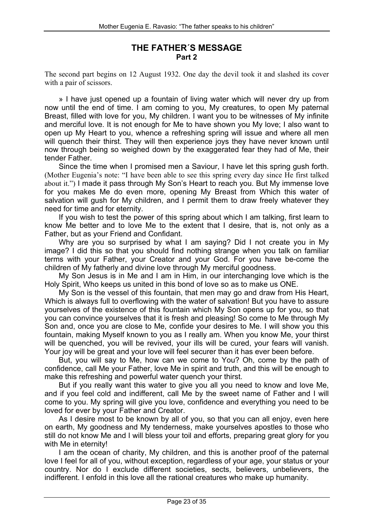#### **THE FATHER´S MESSAGE Part 2**

The second part begins on 12 August 1932. One day the devil took it and slashed its cover with a pair of scissors.

» I have just opened up a fountain of living water which will never dry up from now until the end of time. I am coming to you, My creatures, to open My paternal Breast, filled with love for you, My children. I want you to be witnesses of My infinite and merciful love. It is not enough for Me to have shown you My love; I also want to open up My Heart to you, whence a refreshing spring will issue and where all men will quench their thirst. They will then experience joys they have never known until now through being so weighed down by the exaggerated fear they had of Me, their tender Father.

Since the time when I promised men a Saviour, I have let this spring gush forth. (Mother Eugenia's note: "I have been able to see this spring every day since He first talked about it.") I made it pass through My Son's Heart to reach you. But My immense love for you makes Me do even more, opening My Breast from Which this water of salvation will gush for My children, and I permit them to draw freely whatever they need for time and for eternity.

If you wish to test the power of this spring about which I am talking, first learn to know Me better and to love Me to the extent that I desire, that is, not only as a Father, but as your Friend and Confidant.

Why are you so surprised by what I am saying? Did I not create you in My image? I did this so that you should find nothing strange when you talk on familiar terms with your Father, your Creator and your God. For you have be-come the children of My fatherly and divine love through My merciful goodness.

My Son Jesus is in Me and I am in Him, in our interchanging love which is the Holy Spirit, Who keeps us united in this bond of love so as to make us ONE.

My Son is the vessel of this fountain, that men may go and draw from His Heart, Which is always full to overflowing with the water of salvation! But you have to assure yourselves of the existence of this fountain which My Son opens up for you, so that you can convince yourselves that it is fresh and pleasing! So come to Me through My Son and, once you are close to Me, confide your desires to Me. I will show you this fountain, making Myself known to you as I really am. When you know Me, your thirst will be quenched, you will be revived, your ills will be cured, your fears will vanish. Your joy will be great and your love will feel securer than it has ever been before.

But, you will say to Me, how can we come to You? Oh, come by the path of confidence, call Me your Father, love Me in spirit and truth, and this will be enough to make this refreshing and powerful water quench your thirst.

But if you really want this water to give you all you need to know and love Me, and if you feel cold and indifferent, call Me by the sweet name of Father and I will come to you. My spring will give you love, confidence and everything you need to be loved for ever by your Father and Creator.

As I desire most to be known by all of you, so that you can all enjoy, even here on earth, My goodness and My tenderness, make yourselves apostles to those who still do not know Me and I will bless your toil and efforts, preparing great glory for you with Me in eternity!

I am the ocean of charity, My children, and this is another proof of the paternal love I feel for all of you, without exception, regardless of your age, your status or your country. Nor do I exclude different societies, sects, believers, unbelievers, the indifferent. I enfold in this love all the rational creatures who make up humanity.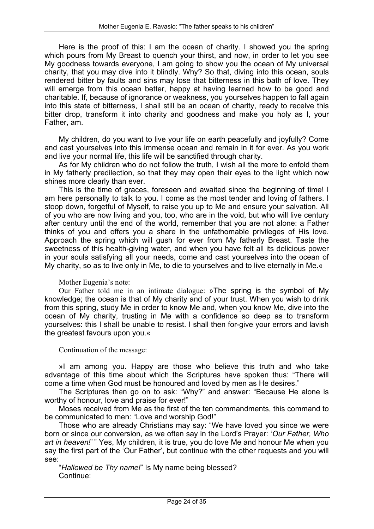Here is the proof of this: I am the ocean of charity. I showed you the spring which pours from My Breast to quench your thirst, and now, in order to let you see My goodness towards everyone, I am going to show you the ocean of My universal charity, that you may dive into it blindly. Why? So that, diving into this ocean, souls rendered bitter by faults and sins may lose that bitterness in this bath of love. They will emerge from this ocean better, happy at having learned how to be good and charitable. If, because of ignorance or weakness, you yourselves happen to fall again into this state of bitterness, I shall still be an ocean of charity, ready to receive this bitter drop, transform it into charity and goodness and make you holy as I, your Father, am.

My children, do you want to live your life on earth peacefully and joyfully? Come and cast yourselves into this immense ocean and remain in it for ever. As you work and live your normal life, this life will be sanctified through charity.

As for My children who do not follow the truth, I wish all the more to enfold them in My fatherly predilection, so that they may open their eyes to the light which now shines more clearly than ever.

This is the time of graces, foreseen and awaited since the beginning of time! I am here personally to talk to you. I come as the most tender and loving of fathers. I stoop down, forgetful of Myself, to raise you up to Me and ensure your salvation. All of you who are now living and you, too, who are in the void, but who will live century after century until the end of the world, remember that you are not alone: a Father thinks of you and offers you a share in the unfathomable privileges of His love. Approach the spring which will gush for ever from My fatherly Breast. Taste the sweetness of this health-giving water, and when you have felt all its delicious power in your souls satisfying all your needs, come and cast yourselves into the ocean of My charity, so as to live only in Me, to die to yourselves and to live eternally in Me.«

Mother Eugenia's note:

Our Father told me in an intimate dialogue: »The spring is the symbol of My knowledge; the ocean is that of My charity and of your trust. When you wish to drink from this spring, study Me in order to know Me and, when you know Me, dive into the ocean of My charity, trusting in Me with a confidence so deep as to transform yourselves: this I shall be unable to resist. I shall then for-give your errors and lavish the greatest favours upon you.«

Continuation of the message:

»I am among you. Happy are those who believe this truth and who take advantage of this time about which the Scriptures have spoken thus: "There will come a time when God must be honoured and loved by men as He desires."

The Scriptures then go on to ask: "Why?" and answer: "Because He alone is worthy of honour, love and praise for ever!"

Moses received from Me as the first of the ten commandments, this command to be communicated to men: "Love and worship God!"

Those who are already Christians may say: "We have loved you since we were born or since our conversion, as we often say in the Lord's Prayer: '*Our Father, Who art in heaven!'* " Yes, My children, it is true, you do love Me and honour Me when you say the first part of the 'Our Father', but continue with the other requests and you will see:

"*Hallowed be Thy name!*" Is My name being blessed? Continue: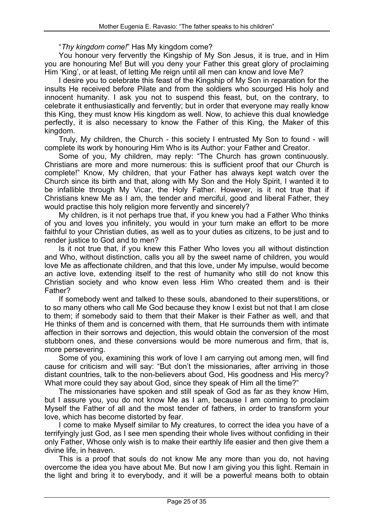#### "*Thy kingdom come!*" Has My kingdom come?

You honour very fervently the Kingship of My Son Jesus, it is true, and in Him you are honouring Me! But will you deny your Father this great glory of proclaiming Him 'King', or at least, of letting Me reign until all men can know and love Me?

I desire you to celebrate this feast of the Kingship of My Son in reparation for the insults He received before Pilate and from the soldiers who scourged His holy and innocent humanity. I ask you not to suspend this feast, but, on the contrary, to celebrate it enthusiastically and fervently; but in order that everyone may really know this King, they must know His kingdom as well. Now, to achieve this dual knowledge perfectly, it is also necessary to know the Father of this King, the Maker of this kingdom.

Truly, My children, the Church - this society I entrusted My Son to found - will complete its work by honouring Him Who is its Author: your Father and Creator.

Some of you, My children, may reply: "The Church has grown continuously. Christians are more and more numerous: this is sufficient proof that our Church is complete!" Know, My children, that your Father has always kept watch over the Church since its birth and that, along with My Son and the Holy Spirit, I wanted it to be infallible through My Vicar, the Holy Father. However, is it not true that if Christians knew Me as I am, the tender and merciful, good and liberal Father, they would practise this holy religion more fervently and sincerely?

My children, is it not perhaps true that, if you knew you had a Father Who thinks of you and loves you infinitely, you would in your turn make an effort to be more faithful to your Christian duties, as well as to your duties as citizens, to be just and to render justice to God and to men?

Is it not true that, if you knew this Father Who loves you all without distinction and Who, without distinction, calls you all by the sweet name of children, you would love Me as affectionate children, and that this love, under My impulse, would become an active love, extending itself to the rest of humanity who still do not know this Christian society and who know even less Him Who created them and is their Father?

If somebody went and talked to these souls, abandoned to their superstitions, or to so many others who call Me God because they know I exist but not that I am close to them; if somebody said to them that their Maker is their Father as well, and that He thinks of them and is concerned with them, that He surrounds them with intimate affection in their sorrows and dejection, this would obtain the conversion of the most stubborn ones, and these conversions would be more numerous and firm, that is, more persevering.

Some of you, examining this work of love I am carrying out among men, will find cause for criticism and will say: "But don't the missionaries, after arriving in those distant countries, talk to the non-believers about God, His goodness and His mercy? What more could they say about God, since they speak of Him all the time?"

The missionaries have spoken and still speak of God as far as they know Him, but I assure you, you do not know Me as I am, because I am coming to proclaim Myself the Father of all and the most tender of fathers, in order to transform your love, which has become distorted by fear.

I come to make Myself similar to My creatures, to correct the idea you have of a terrifyingly just God, as I see men spending their whole lives without confiding in their only Father, Whose only wish is to make their earthly life easier and then give them a divine life, in heaven.

This is a proof that souls do not know Me any more than you do, not having overcome the idea you have about Me. But now I am giving you this light. Remain in the light and bring it to everybody, and it will be a powerful means both to obtain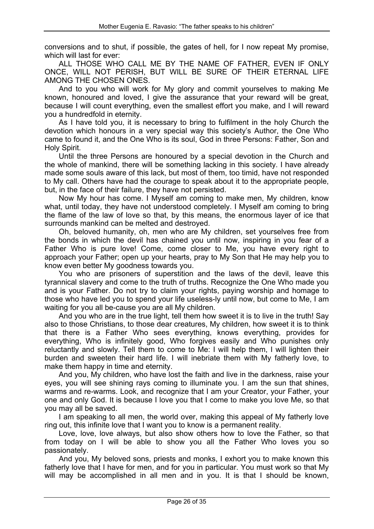conversions and to shut, if possible, the gates of hell, for I now repeat My promise, which will last for ever:

ALL THOSE WHO CALL ME BY THE NAME OF FATHER, EVEN IF ONLY ONCE, WILL NOT PERISH, BUT WILL BE SURE OF THEIR ETERNAL LIFE AMONG THE CHOSEN ONES.

And to you who will work for My glory and commit yourselves to making Me known, honoured and loved, I give the assurance that your reward will be great, because I will count everything, even the smallest effort you make, and I will reward you a hundredfold in eternity.

As I have told you, it is necessary to bring to fulfilment in the holy Church the devotion which honours in a very special way this society's Author, the One Who came to found it, and the One Who is its soul, God in three Persons: Father, Son and Holy Spirit.

Until the three Persons are honoured by a special devotion in the Church and the whole of mankind, there will be something lacking in this society. I have already made some souls aware of this lack, but most of them, too timid, have not responded to My call. Others have had the courage to speak about it to the appropriate people, but, in the face of their failure, they have not persisted.

Now My hour has come. I Myself am coming to make men, My children, know what, until today, they have not understood completely. I Myself am coming to bring the flame of the law of love so that, by this means, the enormous layer of ice that surrounds mankind can be melted and destroyed.

Oh, beloved humanity, oh, men who are My children, set yourselves free from the bonds in which the devil has chained you until now, inspiring in you fear of a Father Who is pure love! Come, come closer to Me, you have every right to approach your Father; open up your hearts, pray to My Son that He may help you to know even better My goodness towards you.

You who are prisoners of superstition and the laws of the devil, leave this tyrannical slavery and come to the truth of truths. Recognize the One Who made you and is your Father. Do not try to claim your rights, paying worship and homage to those who have led you to spend your life useless-ly until now, but come to Me, I am waiting for you all be-cause you are all My children.

And you who are in the true light, tell them how sweet it is to live in the truth! Say also to those Christians, to those dear creatures, My children, how sweet it is to think that there is a Father Who sees everything, knows everything, provides for everything, Who is infinitely good, Who forgives easily and Who punishes only reluctantly and slowly. Tell them to come to Me: I will help them, I will lighten their burden and sweeten their hard life. I will inebriate them with My fatherly love, to make them happy in time and eternity.

And you, My children, who have lost the faith and live in the darkness, raise your eyes, you will see shining rays coming to illuminate you. I am the sun that shines, warms and re-warms. Look, and recognize that I am your Creator, your Father, your one and only God. It is because I love you that I come to make you love Me, so that you may all be saved.

I am speaking to all men, the world over, making this appeal of My fatherly love ring out, this infinite love that I want you to know is a permanent reality.

Love, love, love always, but also show others how to love the Father, so that from today on I will be able to show you all the Father Who loves you so passionately.

And you, My beloved sons, priests and monks, I exhort you to make known this fatherly love that I have for men, and for you in particular. You must work so that My will may be accomplished in all men and in you. It is that I should be known,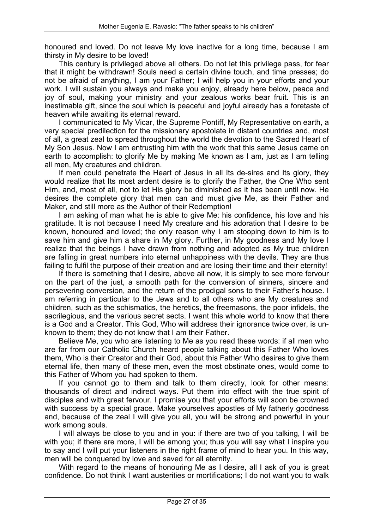honoured and loved. Do not leave My love inactive for a long time, because I am thirsty in My desire to be loved!

This century is privileged above all others. Do not let this privilege pass, for fear that it might be withdrawn! Souls need a certain divine touch, and time presses; do not be afraid of anything, I am your Father; I will help you in your efforts and your work. I will sustain you always and make you enjoy, already here below, peace and joy of soul, making your ministry and your zealous works bear fruit. This is an inestimable gift, since the soul which is peaceful and joyful already has a foretaste of heaven while awaiting its eternal reward.

I communicated to My Vicar, the Supreme Pontiff, My Representative on earth, a very special predilection for the missionary apostolate in distant countries and, most of all, a great zeal to spread throughout the world the devotion to the Sacred Heart of My Son Jesus. Now I am entrusting him with the work that this same Jesus came on earth to accomplish: to glorify Me by making Me known as I am, just as I am telling all men, My creatures and children.

If men could penetrate the Heart of Jesus in all Its de-sires and Its glory, they would realize that Its most ardent desire is to glorify the Father, the One Who sent Him, and, most of all, not to let His glory be diminished as it has been until now. He desires the complete glory that men can and must give Me, as their Father and Maker, and still more as the Author of their Redemption!

I am asking of man what he is able to give Me: his confidence, his love and his gratitude. It is not because I need My creature and his adoration that I desire to be known, honoured and loved; the only reason why I am stooping down to him is to save him and give him a share in My glory. Further, in My goodness and My love I realize that the beings I have drawn from nothing and adopted as My true children are falling in great numbers into eternal unhappiness with the devils. They are thus failing to fulfil the purpose of their creation and are losing their time and their eternity!

If there is something that I desire, above all now, it is simply to see more fervour on the part of the just, a smooth path for the conversion of sinners, sincere and persevering conversion, and the return of the prodigal sons to their Father's house. I am referring in particular to the Jews and to all others who are My creatures and children, such as the schismatics, the heretics, the freemasons, the poor infidels, the sacrilegious, and the various secret sects. I want this whole world to know that there is a God and a Creator. This God, Who will address their ignorance twice over, is unknown to them; they do not know that I am their Father.

Believe Me, you who are listening to Me as you read these words: if all men who are far from our Catholic Church heard people talking about this Father Who loves them, Who is their Creator and their God, about this Father Who desires to give them eternal life, then many of these men, even the most obstinate ones, would come to this Father of Whom you had spoken to them.

If you cannot go to them and talk to them directly, look for other means: thousands of direct and indirect ways. Put them into effect with the true spirit of disciples and with great fervour. I promise you that your efforts will soon be crowned with success by a special grace. Make yourselves apostles of My fatherly goodness and, because of the zeal I will give you all, you will be strong and powerful in your work among souls.

I will always be close to you and in you: if there are two of you talking, I will be with you; if there are more, I will be among you; thus you will say what I inspire you to say and I will put your listeners in the right frame of mind to hear you. In this way, men will be conquered by love and saved for all eternity.

With regard to the means of honouring Me as I desire, all I ask of you is great confidence. Do not think I want austerities or mortifications; I do not want you to walk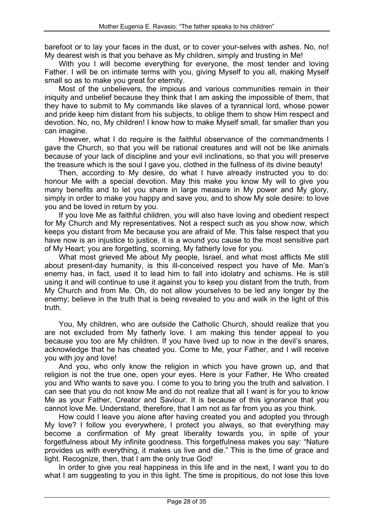barefoot or to lay your faces in the dust, or to cover your-selves with ashes. No, no! My dearest wish is that you behave as My children, simply and trusting in Me!

With you I will become everything for everyone, the most tender and loving Father. I will be on intimate terms with you, giving Myself to you all, making Myself small so as to make you great for eternity.

Most of the unbelievers, the impious and various communities remain in their iniquity and unbelief because they think that I am asking the impossible of them, that they have to submit to My commands like slaves of a tyrannical lord, whose power and pride keep him distant from his subjects, to oblige them to show Him respect and devotion. No, no, My children! I know how to make Myself small, far smaller than you can imagine.

However, what I do require is the faithful observance of the commandments I gave the Church, so that you will be rational creatures and will not be like animals because of your lack of discipline and your evil inclinations, so that you will preserve the treasure which is the soul I gave you, clothed in the fullness of its divine beauty!

Then, according to My desire, do what I have already instructed you to do: honour Me with a special devotion. May this make you know My will to give you many benefits and to let you share in large measure in My power and My glory, simply in order to make you happy and save you, and to show My sole desire: to love you and be loved in return by you.

If you love Me as faithful children, you will also have loving and obedient respect for My Church and My representatives. Not a respect such as you show now, which keeps you distant from Me because you are afraid of Me. This false respect that you have now is an injustice to justice, it is a wound you cause to the most sensitive part of My Heart; you are forgetting, scorning, My fatherly love for you.

What most grieved Me about My people, Israel, and what most afflicts Me still about present-day humanity, is this ill-conceived respect you have of Me. Man's enemy has, in fact, used it to lead him to fall into idolatry and schisms. He is still using it and will continue to use it against you to keep you distant from the truth, from My Church and from Me. Oh, do not allow yourselves to be led any longer by the enemy; believe in the truth that is being revealed to you and walk in the light of this truth.

You, My children, who are outside the Catholic Church, should realize that you are not excluded from My fatherly love. I am making this tender appeal to you because you too are My children. If you have lived up to now in the devil's snares, acknowledge that he has cheated you. Come to Me, your Father, and I will receive you with joy and love!

And you, who only know the religion in which you have grown up, and that religion is not the true one, open your eyes. Here is your Father, He Who created you and Who wants to save you. I come to you to bring you the truth and salvation. I can see that you do not know Me and do not realize that all I want is for you to know Me as your Father, Creator and Saviour. It is because of this ignorance that you cannot love Me. Understand, therefore, that I am not as far from you as you think.

How could I leave you alone after having created you and adopted you through My love? I follow you everywhere, I protect you always, so that everything may become a confirmation of My great liberality towards you, in spite of your forgetfulness about My infinite goodness. This forgetfulness makes you say: "Nature provides us with everything, it makes us live and die." This is the time of grace and light. Recognize, then, that I am the only true God!

In order to give you real happiness in this life and in the next. I want you to do what I am suggesting to you in this light. The time is propitious, do not lose this love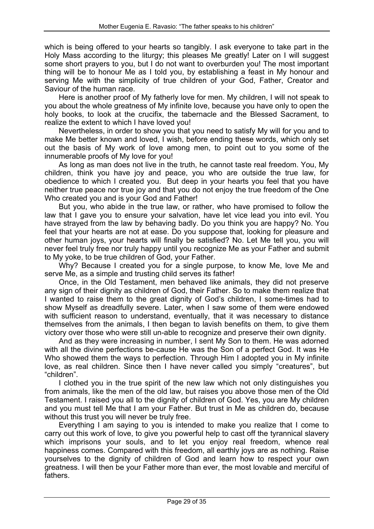which is being offered to your hearts so tangibly. I ask everyone to take part in the Holy Mass according to the liturgy; this pleases Me greatly! Later on I will suggest some short prayers to you, but I do not want to overburden you! The most important thing will be to honour Me as I told you, by establishing a feast in My honour and serving Me with the simplicity of true children of your God, Father, Creator and Saviour of the human race.

Here is another proof of My fatherly love for men. My children, I will not speak to you about the whole greatness of My infinite love, because you have only to open the holy books, to look at the crucifix, the tabernacle and the Blessed Sacrament, to realize the extent to which I have loved you!

Nevertheless, in order to show you that you need to satisfy My will for you and to make Me better known and loved, I wish, before ending these words, which only set out the basis of My work of love among men, to point out to you some of the innumerable proofs of My love for you!

As long as man does not live in the truth, he cannot taste real freedom. You, My children, think you have joy and peace, you who are outside the true law, for obedience to which I created you. But deep in your hearts you feel that you have neither true peace nor true joy and that you do not enjoy the true freedom of the One Who created you and is your God and Father!

But you, who abide in the true law, or rather, who have promised to follow the law that I gave you to ensure your salvation, have let vice lead you into evil. You have strayed from the law by behaving badly. Do you think you are happy? No. You feel that your hearts are not at ease. Do you suppose that, looking for pleasure and other human joys, your hearts will finally be satisfied? No. Let Me tell you, you will never feel truly free nor truly happy until you recognize Me as your Father and submit to My yoke, to be true children of God, your Father.

Why? Because I created you for a single purpose, to know Me, love Me and serve Me, as a simple and trusting child serves its father!

Once, in the Old Testament, men behaved like animals, they did not preserve any sign of their dignity as children of God, their Father. So to make them realize that I wanted to raise them to the great dignity of God's children, I some-times had to show Myself as dreadfully severe. Later, when I saw some of them were endowed with sufficient reason to understand, eventually, that it was necessary to distance themselves from the animals, I then began to lavish benefits on them, to give them victory over those who were still un-able to recognize and preserve their own dignity.

And as they were increasing in number, I sent My Son to them. He was adorned with all the divine perfections be-cause He was the Son of a perfect God. It was He Who showed them the ways to perfection. Through Him I adopted you in My infinite love, as real children. Since then I have never called you simply "creatures", but "children".

I clothed you in the true spirit of the new law which not only distinguishes you from animals, like the men of the old law, but raises you above those men of the Old Testament. I raised you all to the dignity of children of God. Yes, you are My children and you must tell Me that I am your Father. But trust in Me as children do, because without this trust you will never be truly free.

Everything I am saying to you is intended to make you realize that I come to carry out this work of love, to give you powerful help to cast off the tyrannical slavery which imprisons your souls, and to let you enjoy real freedom, whence real happiness comes. Compared with this freedom, all earthly joys are as nothing. Raise yourselves to the dignity of children of God and learn how to respect your own greatness. I will then be your Father more than ever, the most lovable and merciful of fathers.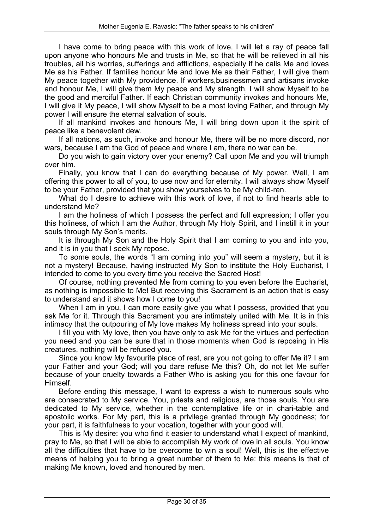I have come to bring peace with this work of love. I will let a ray of peace fall upon anyone who honours Me and trusts in Me, so that he will be relieved in all his troubles, all his worries, sufferings and afflictions, especially if he calls Me and loves Me as his Father. If families honour Me and love Me as their Father, I will give them My peace together with My providence. If workers,businessmen and artisans invoke and honour Me, I will give them My peace and My strength, I will show Myself to be the good and merciful Father. If each Christian community invokes and honours Me, I will give it My peace, I will show Myself to be a most loving Father, and through My power I will ensure the eternal salvation of souls.

If all mankind invokes and honours Me, I will bring down upon it the spirit of peace like a benevolent dew.

If all nations, as such, invoke and honour Me, there will be no more discord, nor wars, because I am the God of peace and where I am, there no war can be.

Do you wish to gain victory over your enemy? Call upon Me and you will triumph over him.

Finally, you know that I can do everything because of My power. Well, I am offering this power to all of you, to use now and for eternity. I will always show Myself to be your Father, provided that you show yourselves to be My child-ren.

What do I desire to achieve with this work of love, if not to find hearts able to understand Me?

I am the holiness of which I possess the perfect and full expression; I offer you this holiness, of which I am the Author, through My Holy Spirit, and I instill it in your souls through My Son's merits.

It is through My Son and the Holy Spirit that I am coming to you and into you, and it is in you that I seek My repose.

To some souls, the words "I am coming into you" will seem a mystery, but it is not a mystery! Because, having instructed My Son to institute the Holy Eucharist, I intended to come to you every time you receive the Sacred Host!

Of course, nothing prevented Me from coming to you even before the Eucharist, as nothing is impossible to Me! But receiving this Sacrament is an action that is easy to understand and it shows how I come to you!

When I am in you, I can more easily give you what I possess, provided that you ask Me for it. Through this Sacrament you are intimately united with Me. It is in this intimacy that the outpouring of My love makes My holiness spread into your souls.

I fill you with My love, then you have only to ask Me for the virtues and perfection you need and you can be sure that in those moments when God is reposing in His creatures, nothing will be refused you.

Since you know My favourite place of rest, are you not going to offer Me it? I am your Father and your God; will you dare refuse Me this? Oh, do not let Me suffer because of your cruelty towards a Father Who is asking you for this one favour for **Himself** 

Before ending this message, I want to express a wish to numerous souls who are consecrated to My service. You, priests and religious, are those souls. You are dedicated to My service, whether in the contemplative life or in chari-table and apostolic works. For My part, this is a privilege granted through My goodness; for your part, it is faithfulness to your vocation, together with your good will.

This is My desire: you who find it easier to understand what I expect of mankind, pray to Me, so that I will be able to accomplish My work of love in all souls. You know all the difficulties that have to be overcome to win a soul! Well, this is the effective means of helping you to bring a great number of them to Me: this means is that of making Me known, loved and honoured by men.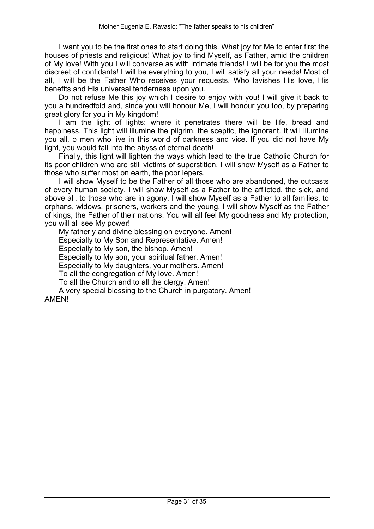I want you to be the first ones to start doing this. What joy for Me to enter first the houses of priests and religious! What joy to find Myself, as Father, amid the children of My love! With you I will converse as with intimate friends! I will be for you the most discreet of confidants! I will be everything to you, I will satisfy all your needs! Most of all, I will be the Father Who receives your requests, Who lavishes His love, His benefits and His universal tenderness upon you.

Do not refuse Me this joy which I desire to enjoy with you! I will give it back to you a hundredfold and, since you will honour Me, I will honour you too, by preparing great glory for you in My kingdom!

I am the light of lights: where it penetrates there will be life, bread and happiness. This light will illumine the pilgrim, the sceptic, the ignorant. It will illumine you all, o men who live in this world of darkness and vice. If you did not have My light, you would fall into the abyss of eternal death!

Finally, this light will lighten the ways which lead to the true Catholic Church for its poor children who are still victims of superstition. I will show Myself as a Father to those who suffer most on earth, the poor lepers.

I will show Myself to be the Father of all those who are abandoned, the outcasts of every human society. I will show Myself as a Father to the afflicted, the sick, and above all, to those who are in agony. I will show Myself as a Father to all families, to orphans, widows, prisoners, workers and the young. I will show Myself as the Father of kings, the Father of their nations. You will all feel My goodness and My protection, you will all see My power!

My fatherly and divine blessing on everyone. Amen! Especially to My Son and Representative. Amen! Especially to My son, the bishop. Amen! Especially to My son, your spiritual father. Amen! Especially to My daughters, your mothers. Amen!

To all the congregation of My love. Amen!

To all the Church and to all the clergy. Amen!

A very special blessing to the Church in purgatory. Amen! AMEN!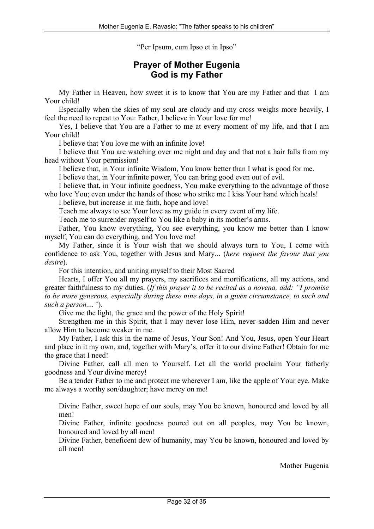"Per Ipsum, cum Ipso et in Ipso"

## **Prayer of Mother Eugenia God is my Father**

My Father in Heaven, how sweet it is to know that You are my Father and that I am Your child!

Especially when the skies of my soul are cloudy and my cross weighs more heavily, I feel the need to repeat to You: Father, I believe in Your love for me!

Yes, I believe that You are a Father to me at every moment of my life, and that I am Your child!

I believe that You love me with an infinite love!

I believe that You are watching over me night and day and that not a hair falls from my head without Your permission!

I believe that, in Your infinite Wisdom, You know better than I what is good for me.

I believe that, in Your infinite power, You can bring good even out of evil.

I believe that, in Your infinite goodness, You make everything to the advantage of those who love You; even under the hands of those who strike me I kiss Your hand which heals!

I believe, but increase in me faith, hope and love!

Teach me always to see Your love as my guide in every event of my life.

Teach me to surrender myself to You like a baby in its mother's arms.

Father, You know everything, You see everything, you know me better than I know myself; You can do everything, and You love me!

My Father, since it is Your wish that we should always turn to You, I come with confidence to ask You, together with Jesus and Mary... (*here request the favour that you desire*).

For this intention, and uniting myself to their Most Sacred

Hearts, I offer You all my prayers, my sacrifices and mortifications, all my actions, and greater faithfulness to my duties. (*If this prayer it to be recited as a novena, add: "I promise to be more generous, especially during these nine days, in a given circumstance, to such and such a person...."*).

Give me the light, the grace and the power of the Holy Spirit!

Strengthen me in this Spirit, that I may never lose Him, never sadden Him and never allow Him to become weaker in me.

My Father, I ask this in the name of Jesus, Your Son! And You, Jesus, open Your Heart and place in it my own, and, together with Mary's, offer it to our divine Father! Obtain for me the grace that I need!

Divine Father, call all men to Yourself. Let all the world proclaim Your fatherly goodness and Your divine mercy!

Be a tender Father to me and protect me wherever I am, like the apple of Your eye. Make me always a worthy son/daughter; have mercy on me!

Divine Father, sweet hope of our souls, may You be known, honoured and loved by all men!

Divine Father, infinite goodness poured out on all peoples, may You be known, honoured and loved by all men!

Divine Father, beneficent dew of humanity, may You be known, honoured and loved by all men!

Mother Eugenia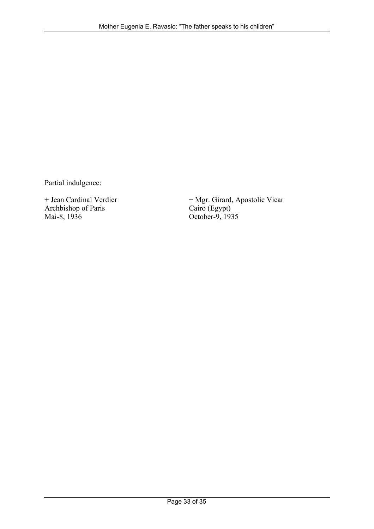Partial indulgence:

+ Jean Cardinal Verdier Archbishop of Paris Mai-8, 1936

+ Mgr. Girard, Apostolic Vicar Cairo (Egypt) October-9, 1935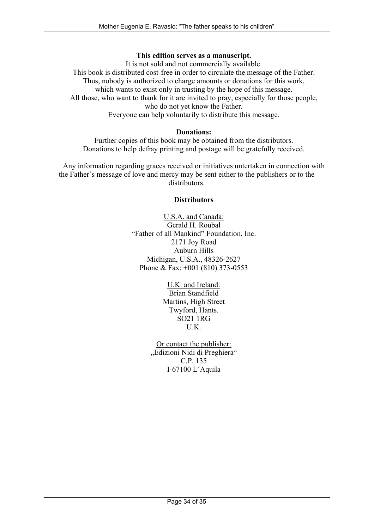#### **This edition serves as a manuscript.**

It is not sold and not commercially available. This book is distributed cost-free in order to circulate the message of the Father. Thus, nobody is authorized to charge amounts or donations for this work, which wants to exist only in trusting by the hope of this message. All those, who want to thank for it are invited to pray, especially for those people, who do not yet know the Father. Everyone can help voluntarily to distribute this message.

#### **Donations:**

Further copies of this book may be obtained from the distributors. Donations to help defray printing and postage will be gratefully received.

Any information regarding graces received or initiatives untertaken in connection with the Father´s message of love and mercy may be sent either to the publishers or to the distributors.

#### **Distributors**

U.S.A. and Canada: Gerald H. Roubal "Father of all Mankind" Foundation, Inc. 2171 Joy Road Auburn Hills Michigan, U.S.A., 48326-2627 Phone & Fax: +001 (810) 373-0553

> U.K. and Ireland: Brian Standfield Martins, High Street Twyford, Hants. SO21 1RG U.K.

Or contact the publisher: "Edizioni Nidi di Preghiera" C.P. 135 I-67100 L´Aquila